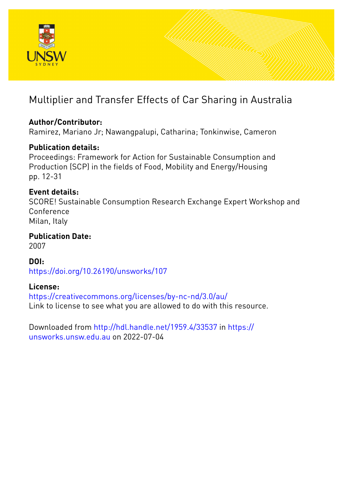

# Multiplier and Transfer Effects of Car Sharing in Australia

## **Author/Contributor:**

Ramirez, Mariano Jr; Nawangpalupi, Catharina; Tonkinwise, Cameron

## **Publication details:**

Proceedings: Framework for Action for Sustainable Consumption and Production (SCP) in the fields of Food, Mobility and Energy/Housing pp. 12-31

## **Event details:**

SCORE! Sustainable Consumption Research Exchange Expert Workshop and Conference Milan, Italy

**Publication Date:** 2007

**DOI:** [https://doi.org/10.26190/unsworks/107](http://dx.doi.org/https://doi.org/10.26190/unsworks/107)

### **License:**

<https://creativecommons.org/licenses/by-nc-nd/3.0/au/> Link to license to see what you are allowed to do with this resource.

Downloaded from <http://hdl.handle.net/1959.4/33537> in [https://](https://unsworks.unsw.edu.au) [unsworks.unsw.edu.au](https://unsworks.unsw.edu.au) on 2022-07-04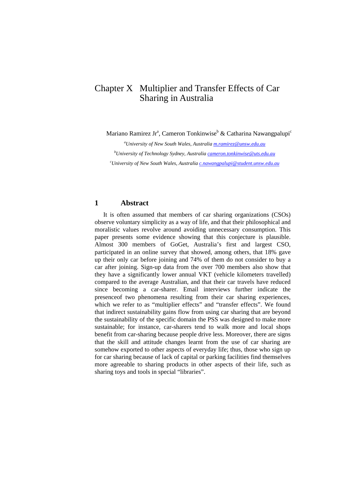### Chapter X Multiplier and Transfer Effects of Car Sharing in Australia

Mariano Ramirez Jr<sup>a</sup>, Cameron Tonkinwise<sup>b</sup> & Catharina Nawangpalupi<sup>c</sup>

*a University of New South Wales, Australia [m.ramirez@unsw.edu.au](mailto:m.ramirez@unsw.edu.au)*

*b University of Technology Sydney, Australia [cameron.tonkinwise@uts.edu.au](mailto:cameron.tonkinwise@uts.edu.au)*

*c University of New South Wales, Australia [c.nawangpalupi@student.unsw.edu.au](mailto:c.nawangpalupi@student.unsw.edu.au)*

#### **1 Abstract**

It is often assumed that members of car sharing organizations (CSOs) observe voluntary simplicity as a way of life, and that their philosophical and moralistic values revolve around avoiding unnecessary consumption. This paper presents some evidence showing that this conjecture is plausible. Almost 300 members of GoGet, Australia's first and largest CSO, participated in an online survey that showed, among others, that 18% gave up their only car before joining and 74% of them do not consider to buy a car after joining. Sign-up data from the over 700 members also show that they have a significantly lower annual VKT (vehicle kilometers travelled) compared to the average Australian, and that their car travels have reduced since becoming a car-sharer. Email interviews further indicate the presenceof two phenomena resulting from their car sharing experiences, which we refer to as "multiplier effects" and "transfer effects". We found that indirect sustainability gains flow from using car sharing that are beyond the sustainability of the specific domain the PSS was designed to make more sustainable; for instance, car-sharers tend to walk more and local shops benefit from car-sharing because people drive less. Moreover, there are signs that the skill and attitude changes learnt from the use of car sharing are somehow exported to other aspects of everyday life; thus, those who sign up for car sharing because of lack of capital or parking facilities find themselves more agreeable to sharing products in other aspects of their life, such as sharing toys and tools in special "libraries".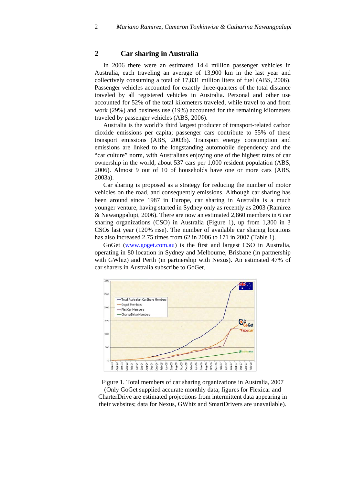#### **2 Car sharing in Australia**

In 2006 there were an estimated 14.4 million passenger vehicles in Australia, each traveling an average of 13,900 km in the last year and collectively consuming a total of 17,831 million liters of fuel (ABS, 2006). Passenger vehicles accounted for exactly three-quarters of the total distance traveled by all registered vehicles in Australia. Personal and other use accounted for 52% of the total kilometers traveled, while travel to and from work (29%) and business use (19%) accounted for the remaining kilometers traveled by passenger vehicles (ABS, 2006).

Australia is the world's third largest producer of transport-related carbon dioxide emissions per capita; passenger cars contribute to 55% of these transport emissions (ABS, 2003b). Transport energy consumption and emissions are linked to the longstanding automobile dependency and the "car culture" norm, with Australians enjoying one of the highest rates of car ownership in the world, about 537 cars per 1,000 resident population (ABS, 2006). Almost 9 out of 10 of households have one or more cars (ABS, 2003a).

Car sharing is proposed as a strategy for reducing the number of motor vehicles on the road, and consequently emissions. Although car sharing has been around since 1987 in Europe, car sharing in Australia is a much younger venture, having started in Sydney only as recently as 2003 (Ramirez & Nawangpalupi, 2006). There are now an estimated 2,860 members in 6 car sharing organizations (CSO) in Australia (Figure 1), up from 1,300 in 3 CSOs last year (120% rise). The number of available car sharing locations has also increased 2.75 times from 62 in 2006 to 171 in 2007 (Table 1).

GoGet ([www.goget.com.au](http://www.goget.com.au/)) is the first and largest CSO in Australia, operating in 80 location in Sydney and Melbourne, Brisbane (in partnership with GWhiz) and Perth (in partnership with Nexus). An estimated 47% of car sharers in Australia subscribe to GoGet.



Figure 1. Total members of car sharing organizations in Australia, 2007

(Only GoGet supplied accurate monthly data; figures for Flexicar and CharterDrive are estimated projections from intermittent data appearing in their websites; data for Nexus, GWhiz and SmartDrivers are unavailable).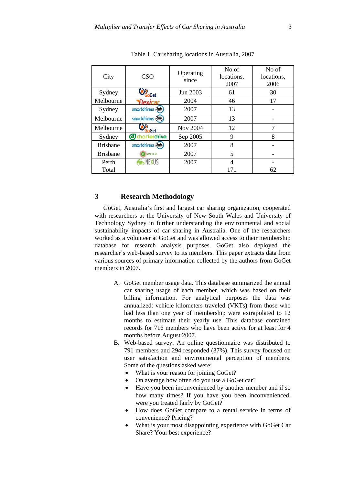| City            | CSO                   | Operating<br>since | No of<br>locations,<br>2007 | No of<br>locations,<br>2006 |
|-----------------|-----------------------|--------------------|-----------------------------|-----------------------------|
| Sydney          | Get                   | Jun 2003           | 61                          | 30                          |
| Melbourne       | <b>Flexicar</b>       | 2004               | 46                          | 17                          |
| Sydney          | smortdrivers a        | 2007               | 13                          |                             |
| Melbourne       | smortdrivers &        | 2007               | 13                          |                             |
| Melbourne       | Get                   | Nov 2004           | 12                          |                             |
| Sydney          | <b>d</b> charterdrive | Sep 2005           | 9                           | 8                           |
| <b>Brisbane</b> | smortdrivers a        | 2007               | 8                           |                             |
| <b>Brisbane</b> | WHIZ                  | 2007               | 5                           |                             |
| Perth           | NEXUS                 | 2007               | 4                           |                             |
| Total           |                       |                    | 171                         | 62                          |

Table 1. Car sharing locations in Australia, 2007

#### **3 Research Methodology**

GoGet, Australia's first and largest car sharing organization, cooperated with researchers at the University of New South Wales and University of Technology Sydney in further understanding the environmental and social sustainability impacts of car sharing in Australia. One of the researchers worked as a volunteer at GoGet and was allowed access to their membership database for research analysis purposes. GoGet also deployed the researcher's web-based survey to its members. This paper extracts data from various sources of primary information collected by the authors from GoGet members in 2007.

- A. GoGet member usage data. This database summarized the annual car sharing usage of each member, which was based on their billing information. For analytical purposes the data was annualized: vehicle kilometers traveled (VKTs) from those who had less than one year of membership were extrapolated to 12 months to estimate their yearly use. This database contained records for 716 members who have been active for at least for 4 months before August 2007.
- B. Web-based survey. An online questionnaire was distributed to 791 members and 294 responded (37%). This survey focused on user satisfaction and environmental perception of members. Some of the questions asked were:
	- What is your reason for joining GoGet?
	- On average how often do you use a GoGet car?
	- Have you been inconvenienced by another member and if so how many times? If you have you been inconvenienced, were you treated fairly by GoGet?
	- How does GoGet compare to a rental service in terms of convenience? Pricing?
	- What is your most disappointing experience with GoGet Car Share? Your best experience?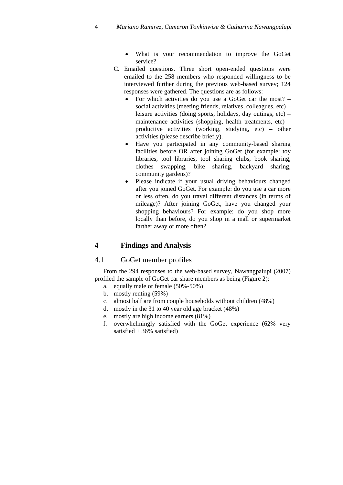- What is your recommendation to improve the GoGet service?
- C. Emailed questions. Three short open-ended questions were emailed to the 258 members who responded willingness to be interviewed further during the previous web-based survey; 124 responses were gathered. The questions are as follows:
	- For which activities do you use a GoGet car the most? social activities (meeting friends, relatives, colleagues, etc) – leisure activities (doing sports, holidays, day outings, etc) – maintenance activities (shopping, health treatments, etc) – productive activities (working, studying, etc) – other activities (please describe briefly).
	- Have you participated in any community-based sharing facilities before OR after joining GoGet (for example: toy libraries, tool libraries, tool sharing clubs, book sharing, clothes swapping, bike sharing, backyard sharing, community gardens)?
	- Please indicate if your usual driving behaviours changed after you joined GoGet. For example: do you use a car more or less often, do you travel different distances (in terms of mileage)? After joining GoGet, have you changed your shopping behaviours? For example: do you shop more locally than before, do you shop in a mall or supermarket farther away or more often?

#### **4 Findings and Analysis**

#### 4.1 GoGet member profiles

From the 294 responses to the web-based survey, Nawangpalupi (2007) profiled the sample of GoGet car share members as being (Figure 2):

- a. equally male or female (50%-50%)
- b. mostly renting (59%)
- c. almost half are from couple households without children (48%)
- d. mostly in the 31 to 40 year old age bracket (48%)
- e. mostly are high income earners (81%)
- f. overwhelmingly satisfied with the GoGet experience (62% very satisfied  $+36%$  satisfied)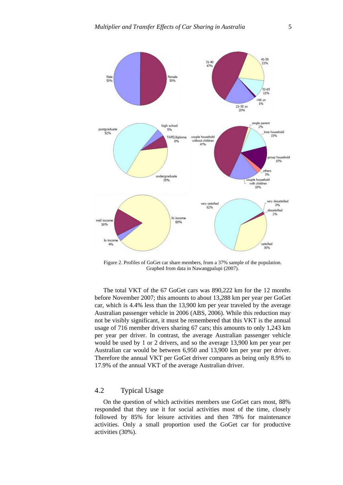

Figure 2. Profiles of GoGet car share members, from a 37% sample of the population. Graphed from data in Nawangpalupi (2007).

The total VKT of the 67 GoGet cars was 890,222 km for the 12 months before November 2007; this amounts to about 13,288 km per year per GoGet car, which is 4.4% less than the 13,900 km per year traveled by the average Australian passenger vehicle in 2006 (ABS, 2006). While this reduction may not be visibly significant, it must be remembered that this VKT is the annual usage of 716 member drivers sharing 67 cars; this amounts to only 1,243 km per year per driver. In contrast, the average Australian passenger vehicle would be used by 1 or 2 drivers, and so the average 13,900 km per year per Australian car would be between 6,950 and 13,900 km per year per driver. Therefore the annual VKT per GoGet driver compares as being only 8.9% to 17.9% of the annual VKT of the average Australian driver.

#### 4.2 Typical Usage

On the question of which activities members use GoGet cars most, 88% responded that they use it for social activities most of the time, closely followed by 85% for leisure activities and then 78% for maintenance activities. Only a small proportion used the GoGet car for productive activities (30%).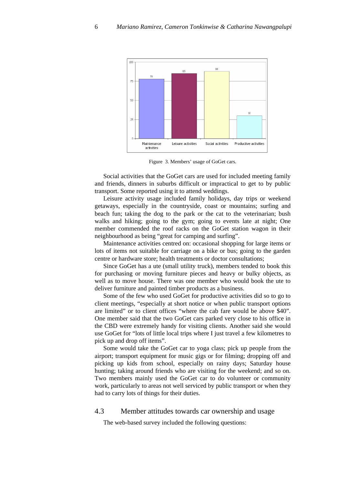

Figure 3. Members' usage of GoGet cars.

Social activities that the GoGet cars are used for included meeting family and friends, dinners in suburbs difficult or impractical to get to by public transport. Some reported using it to attend weddings.

Leisure activity usage included family holidays, day trips or weekend getaways, especially in the countryside, coast or mountains; surfing and beach fun; taking the dog to the park or the cat to the veterinarian; bush walks and hiking; going to the gym; going to events late at night; One member commended the roof racks on the GoGet station wagon in their neighbourhood as being "great for camping and surfing".

Maintenance activities centred on: occasional shopping for large items or lots of items not suitable for carriage on a bike or bus; going to the garden centre or hardware store; health treatments or doctor consultations;

Since GoGet has a ute (small utility truck), members tended to book this for purchasing or moving furniture pieces and heavy or bulky objects, as well as to move house. There was one member who would book the ute to deliver furniture and painted timber products as a business.

Some of the few who used GoGet for productive activities did so to go to client meetings, "especially at short notice or when public transport options are limited" or to client offices "where the cab fare would be above \$40". One member said that the two GoGet cars parked very close to his office in the CBD were extremely handy for visiting clients. Another said she would use GoGet for "lots of little local trips where I just travel a few kilometres to pick up and drop off items".

Some would take the GoGet car to yoga class; pick up people from the airport; transport equipment for music gigs or for filming; dropping off and picking up kids from school, especially on rainy days; Saturday house hunting; taking around friends who are visiting for the weekend; and so on. Two members mainly used the GoGet car to do volunteer or community work, particularly to areas not well serviced by public transport or when they had to carry lots of things for their duties.

#### 4.3 Member attitudes towards car ownership and usage

The web-based survey included the following questions: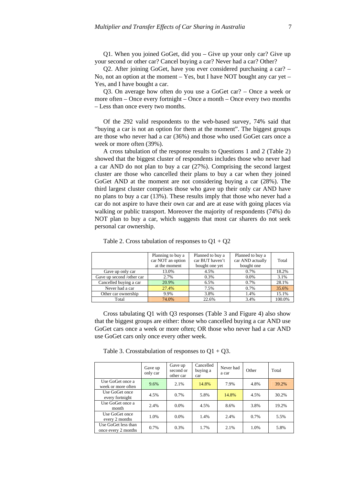Q1. When you joined GoGet, did you – Give up your only car? Give up your second or other car? Cancel buying a car? Never had a car? Other?

Q2. After joining GoGet, have you ever considered purchasing a car? – No, not an option at the moment  $-$  Yes, but I have NOT bought any car yet  $-$ Yes, and I have bought a car.

Q3. On average how often do you use a GoGet car? – Once a week or more often – Once every fortnight – Once a month – Once every two months – Less than once every two months.

Of the 292 valid respondents to the web-based survey, 74% said that "buying a car is not an option for them at the moment". The biggest groups are those who never had a car (36%) and those who used GoGet cars once a week or more often (39%).

A cross tabulation of the response results to Questions 1 and 2 (Table 2) showed that the biggest cluster of respondents includes those who never had a car AND do not plan to buy a car (27%). Comprising the second largest cluster are those who cancelled their plans to buy a car when they joined GoGet AND at the moment are not considering buying a car (28%). The third largest cluster comprises those who gave up their only car AND have no plans to buy a car (13%). These results imply that those who never had a car do not aspire to have their own car and are at ease with going places via walking or public transport. Moreover the majority of respondents (74%) do NOT plan to buy a car, which suggests that most car sharers do not seek personal car ownership.

|                           | Planning to buy a | Planned to buy a | Planned to buy a |        |
|---------------------------|-------------------|------------------|------------------|--------|
|                           | car NOT an option | car BUT haven't  | car AND actually | Total  |
|                           | at the moment     | bought one yet   | bought one       |        |
| Gave up only car          | 13.0%             | 4.5%             | 0.7%             | 18.2%  |
| Gave up second /other car | 2.7%              | 0.3%             | $0.0\%$          | 3.1%   |
| Cancelled buying a car    | 20.9%             | 6.5%             | 0.7%             | 28.1%  |
| Never had a car           | 27.4%             | 7.5%             | 0.7%             | 35.6%  |
| Other car ownership       | 9.9%              | 3.8%             | 1.4%             | 15.1%  |
| Total                     | 74.0%             | 22.6%            | 3.4%             | 100.0% |

Table 2. Cross tabulation of responses to  $Q1 + Q2$ 

Cross tabulating Q1 with Q3 responses (Table 3 and Figure 4) also show that the biggest groups are either: those who cancelled buying a car AND use GoGet cars once a week or more often; OR those who never had a car AND use GoGet cars only once every other week.

Table 3. Crosstabulation of responses to  $Q1 + Q3$ .

|                                            | Gave up<br>only car | Gave up<br>second or<br>other car | Cancelled<br>buying a<br>car | Never had<br>a car | Other | Total |
|--------------------------------------------|---------------------|-----------------------------------|------------------------------|--------------------|-------|-------|
| Use GoGet once a<br>week or more often     | 9.6%                | 2.1%                              | 14.8%                        | 7.9%               | 4.8%  | 39.2% |
| Use GoGet once<br>every fortnight          | 4.5%                | 0.7%                              | 5.8%                         | 14.8%              | 4.5%  | 30.2% |
| Use GoGet once a<br>month                  | 2.4%                | $0.0\%$                           | 4.5%                         | 8.6%               | 3.8%  | 19.2% |
| Use GoGet once<br>every 2 months           | 1.0%                | $0.0\%$                           | 1.4%                         | 2.4%               | 0.7%  | 5.5%  |
| Use GoGet less than<br>once every 2 months | 0.7%                | 0.3%                              | 1.7%                         | 2.1%               | 1.0%  | 5.8%  |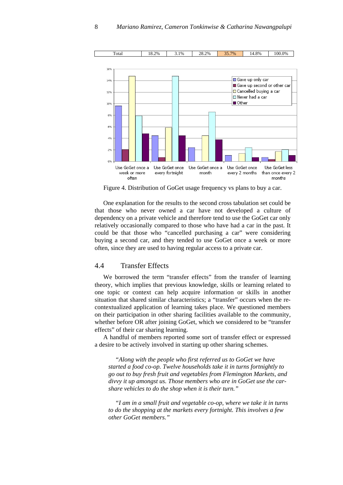

Figure 4. Distribution of GoGet usage frequency vs plans to buy a car.

One explanation for the results to the second cross tabulation set could be that those who never owned a car have not developed a culture of dependency on a private vehicle and therefore tend to use the GoGet car only relatively occasionally compared to those who have had a car in the past. It could be that those who "cancelled purchasing a car" were considering buying a second car, and they tended to use GoGet once a week or more often, since they are used to having regular access to a private car.

#### 4.4 Transfer Effects

We borrowed the term "transfer effects" from the transfer of learning theory, which implies that previous knowledge, skills or learning related to one topic or context can help acquire information or skills in another situation that shared similar characteristics; a "transfer" occurs when the recontextualized application of learning takes place. We questioned members on their participation in other sharing facilities available to the community, whether before OR after joining GoGet, which we considered to be "transfer effects" of their car sharing learning.

A handful of members reported some sort of transfer effect or expressed a desire to be actively involved in starting up other sharing schemes.

*"Along with the people who first referred us to GoGet we have started a food co-op. Twelve households take it in turns fortnightly to go out to buy fresh fruit and vegetables from Flemington Markets, and divvy it up amongst us. Those members who are in GoGet use the carshare vehicles to do the shop when it is their turn."* 

*"I am in a small fruit and vegetable co-op, where we take it in turns to do the shopping at the markets every fortnight. This involves a few other GoGet members."*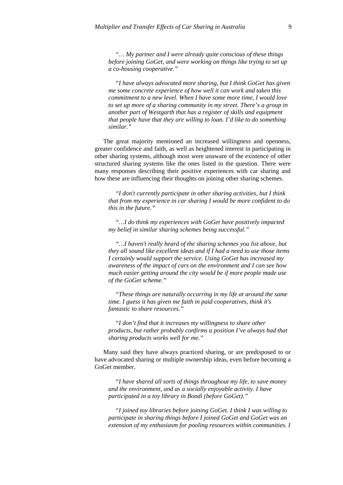*"… My partner and I were already quite conscious of these things before joining GoGet, and were working on things like trying to set up a co-housing cooperative."* 

*"I have always advocated more sharing, but I think GoGet has given me some concrete experience of how well it can work and taken this commitment to a new level. When I have some more time, I would love to set up more of a sharing community in my street. There's a group in another part of Westgarth that has a register of skills and equipment that people have that they are willing to loan. I'd like to do something similar."* 

The great majority mentioned an increased willingness and openness, greater confidence and faith, as well as heightened interest in participating in other sharing systems, although most were unaware of the existence of other structured sharing systems like the ones listed in the question. There were many responses describing their positive experiences with car sharing and how these are influencing their thoughts on joining other sharing schemes.

*"I don't currently participate in other sharing activities, but I think that from my experience in car sharing I would be more confident to do this in the future."* 

*"…I do think my experiences with GoGet have positively impacted my belief in similar sharing schemes being successful."* 

*"…I haven't really heard of the sharing schemes you list above, but they all sound like excellent ideas and if I had a need to use those items I certainly would support the service. Using GoGet has increased my awareness of the impact of cars on the environment and I can see how much easier getting around the city would be if more people made use of the GoGet scheme."* 

*"These things are naturally occurring in my life at around the same time. I guess it has given me faith in paid cooperatives, think it's fantastic to share resources."* 

*"I don't find that it increases my willingness to share other products, but rather probably confirms a position I've always had that sharing products works well for me."* 

Many said they have always practiced sharing, or are predisposed to or have advocated sharing or multiple ownership ideas, even before becoming a GoGet member.

*"I have shared all sorts of things throughout my life, to save money and the environment, and as a socially enjoyable activity. I have participated in a toy library in Bondi (before GoGet)."* 

*"I joined toy libraries before joining GoGet. I think I was willing to participate in sharing things before I joined GoGet and GoGet was an extension of my enthusiasm for pooling resources within communities. I*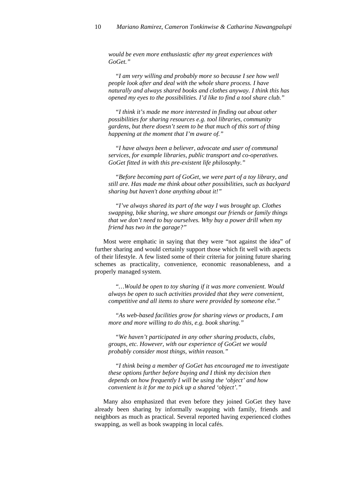*would be even more enthusiastic after my great experiences with GoGet."* 

*"I am very willing and probably more so because I see how well people look after and deal with the whole share process. I have naturally and always shared books and clothes anyway. I think this has opened my eyes to the possibilities. I'd like to find a tool share club."* 

*"I think it's made me more interested in finding out about other possibilities for sharing resources e.g. tool libraries, community gardens, but there doesn't seem to be that much of this sort of thing happening at the moment that I'm aware of."* 

*"I have always been a believer, advocate and user of communal services, for example libraries, public transport and co-operatives. GoGet fitted in with this pre-existent life philosophy."* 

*"Before becoming part of GoGet, we were part of a toy library, and still are. Has made me think about other possibilities, such as backyard sharing but haven't done anything about it!"* 

*"I've always shared its part of the way I was brought up. Clothes swapping, bike sharing, we share amongst our friends or family things that we don't need to buy ourselves. Why buy a power drill when my friend has two in the garage?"* 

Most were emphatic in saying that they were "not against the idea" of further sharing and would certainly support those which fit well with aspects of their lifestyle. A few listed some of their criteria for joining future sharing schemes as practicality, convenience, economic reasonableness, and a properly managed system.

*"…Would be open to toy sharing if it was more convenient. Would always be open to such activities provided that they were convenient, competitive and all items to share were provided by someone else."* 

*"As web-based facilities grow for sharing views or products, I am more and more willing to do this, e.g. book sharing."* 

*"We haven't participated in any other sharing products, clubs, groups, etc. However, with our experience of GoGet we would probably consider most things, within reason."* 

*"I think being a member of GoGet has encouraged me to investigate these options further before buying and I think my decision then depends on how frequently I will be using the 'object' and how convenient is it for me to pick up a shared 'object'."* 

Many also emphasized that even before they joined GoGet they have already been sharing by informally swapping with family, friends and neighbors as much as practical. Several reported having experienced clothes swapping, as well as book swapping in local cafés.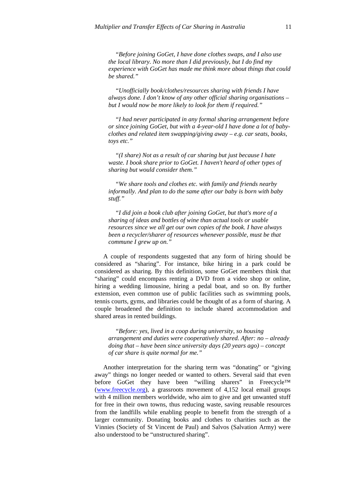*"Before joining GoGet, I have done clothes swaps, and I also use the local library. No more than I did previously, but I do find my experience with GoGet has made me think more about things that could be shared."* 

*"Unofficially book/clothes/resources sharing with friends I have always done. I don't know of any other official sharing organisations – but I would now be more likely to look for them if required."* 

*"I had never participated in any formal sharing arrangement before or since joining GoGet, but with a 4-year-old I have done a lot of babyclothes and related item swapping/giving away – e.g. car seats, books, toys etc."* 

*"(I share) Not as a result of car sharing but just because I hate waste. I book share prior to GoGet. I haven't heard of other types of sharing but would consider them."* 

*"We share tools and clothes etc. with family and friends nearby informally. And plan to do the same after our baby is born with baby stuff."* 

*"I did join a book club after joining GoGet, but that's more of a sharing of ideas and bottles of wine than actual tools or usable resources since we all get our own copies of the book. I have always been a recycler/sharer of resources whenever possible, must be that commune I grew up on."* 

A couple of respondents suggested that any form of hiring should be considered as "sharing". For instance, bike hiring in a park could be considered as sharing. By this definition, some GoGet members think that "sharing" could encompass renting a DVD from a video shop or online, hiring a wedding limousine, hiring a pedal boat, and so on. By further extension, even common use of public facilities such as swimming pools, tennis courts, gyms, and libraries could be thought of as a form of sharing. A couple broadened the definition to include shared accommodation and shared areas in rented buildings.

*"Before: yes, lived in a coop during university, so housing arrangement and duties were cooperatively shared. After: no – already doing that – have been since university days (20 years ago) – concept of car share is quite normal for me."* 

Another interpretation for the sharing term was "donating" or "giving away" things no longer needed or wanted to others. Several said that even before GoGet they have been "willing sharers" in Freecycle™ [\(www.freecycle.org](http://www.freecycle.org/)), a grassroots movement of 4,152 local email groups with 4 million members worldwide, who aim to give and get unwanted stuff for free in their own towns, thus reducing waste, saving reusable resources from the landfills while enabling people to benefit from the strength of a larger community. Donating books and clothes to charities such as the Vinnies (Society of St Vincent de Paul) and Salvos (Salvation Army) were also understood to be "unstructured sharing".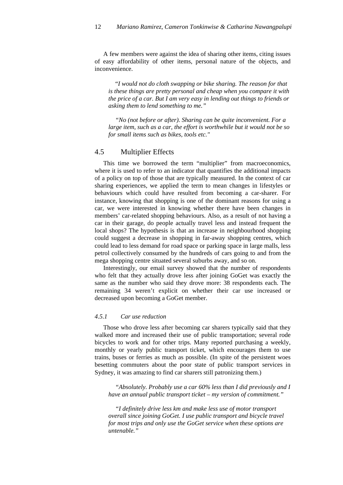A few members were against the idea of sharing other items, citing issues of easy affordability of other items, personal nature of the objects, and inconvenience.

"*I would not do cloth swapping or bike sharing. The reason for that is these things are pretty personal and cheap when you compare it with the price of a car. But I am very easy in lending out things to friends or asking them to lend something to me."* 

*"No (not before or after). Sharing can be quite inconvenient. For a large item, such as a car, the effort is worthwhile but it would not be so for small items such as bikes, tools etc."* 

#### 4.5 Multiplier Effects

This time we borrowed the term "multiplier" from macroeconomics, where it is used to refer to an indicator that quantifies the additional impacts of a policy on top of those that are typically measured. In the context of car sharing experiences, we applied the term to mean changes in lifestyles or behaviours which could have resulted from becoming a car-sharer. For instance, knowing that shopping is one of the dominant reasons for using a car, we were interested in knowing whether there have been changes in members' car-related shopping behaviours. Also, as a result of not having a car in their garage, do people actually travel less and instead frequent the local shops? The hypothesis is that an increase in neighbourhood shopping could suggest a decrease in shopping in far-away shopping centres, which could lead to less demand for road space or parking space in large malls, less petrol collectively consumed by the hundreds of cars going to and from the mega shopping centre situated several suburbs away, and so on.

Interestingly, our email survey showed that the number of respondents who felt that they actually drove less after joining GoGet was exactly the same as the number who said they drove more: 38 respondents each. The remaining 34 weren't explicit on whether their car use increased or decreased upon becoming a GoGet member.

#### *4.5.1 Car use reduction*

Those who drove less after becoming car sharers typically said that they walked more and increased their use of public transportation; several rode bicycles to work and for other trips. Many reported purchasing a weekly, monthly or yearly public transport ticket, which encourages them to use trains, buses or ferries as much as possible. (In spite of the persistent woes besetting commuters about the poor state of public transport services in Sydney, it was amazing to find car sharers still patronizing them.)

*"Absolutely. Probably use a car 60% less than I did previously and I have an annual public transport ticket – my version of commitment."* 

*"I definitely drive less km and make less use of motor transport overall since joining GoGet. I use public transport and bicycle travel for most trips and only use the GoGet service when these options are untenable."*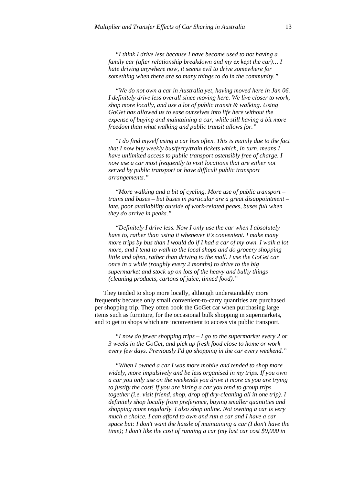*"I think I drive less because I have become used to not having a family car (after relationship breakdown and my ex kept the car)… I hate driving anywhere now, it seems evil to drive somewhere for something when there are so many things to do in the community."* 

*"We do not own a car in Australia yet, having moved here in Jan 06. I definitely drive less overall since moving here. We live closer to work, shop more locally, and use a lot of public transit & walking. Using GoGet has allowed us to ease ourselves into life here without the expense of buying and maintaining a car, while still having a bit more freedom than what walking and public transit allows for."* 

*"I do find myself using a car less often. This is mainly due to the fact that I now buy weekly bus/ferry/train tickets which, in turn, means I have unlimited access to public transport ostensibly free of charge. I now use a car most frequently to visit locations that are either not served by public transport or have difficult public transport arrangements."* 

*"More walking and a bit of cycling. More use of public transport – trains and buses – but buses in particular are a great disappointment – late, poor availability outside of work-related peaks, buses full when they do arrive in peaks."* 

*"Definitely I drive less. Now I only use the car when I absolutely have to, rather than using it whenever it's convenient. I make many more trips by bus than I would do if I had a car of my own. I walk a lot more, and I tend to walk to the local shops and do grocery shopping little and often, rather than driving to the mall. I use the GoGet car once in a while (roughly every 2 months) to drive to the big supermarket and stock up on lots of the heavy and bulky things (cleaning products, cartons of juice, tinned food)."* 

They tended to shop more locally, although understandably more frequently because only small convenient-to-carry quantities are purchased per shopping trip. They often book the GoGet car when purchasing large items such as furniture, for the occasional bulk shopping in supermarkets, and to get to shops which are inconvenient to access via public transport.

*"I now do fewer shopping trips – I go to the supermarket every 2 or 3 weeks in the GoGet, and pick up fresh food close to home or work every few days. Previously I'd go shopping in the car every weekend."* 

*"When I owned a car I was more mobile and tended to shop more widely, more impulsively and be less organised in my trips. If you own a car you only use on the weekends you drive it more as you are trying to justify the cost! If you are hiring a car you tend to group trips together (i.e. visit friend, shop, drop off dry-cleaning all in one trip). I definitely shop locally from preference, buying smaller quantities and shopping more regularly. I also shop online. Not owning a car is very much a choice. I can afford to own and run a car and I have a car space but: I don't want the hassle of maintaining a car (I don't have the time); I don't like the cost of running a car (my last car cost \$9,000 in*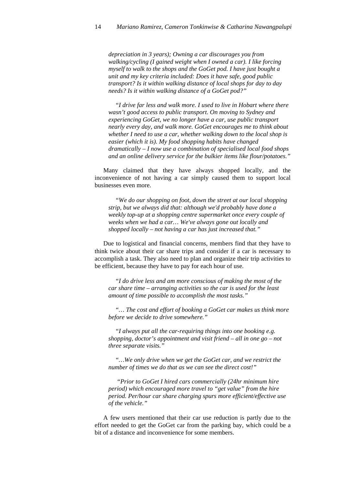*depreciation in 3 years); Owning a car discourages you from walking/cycling (I gained weight when I owned a car). I like forcing myself to walk to the shops and the GoGet pod. I have just bought a unit and my key criteria included: Does it have safe, good public transport? Is it within walking distance of local shops for day to day needs? Is it within walking distance of a GoGet pod?"* 

*"I drive far less and walk more. I used to live in Hobart where there wasn't good access to public transport. On moving to Sydney and experiencing GoGet, we no longer have a car, use public transport nearly every day, and walk more. GoGet encourages me to think about whether I need to use a car, whether walking down to the local shop is easier (which it is). My food shopping habits have changed dramatically – I now use a combination of specialised local food shops and an online delivery service for the bulkier items like flour/potatoes."* 

Many claimed that they have always shopped locally, and the inconvenience of not having a car simply caused them to support local businesses even more.

*"We do our shopping on foot, down the street at our local shopping strip, but we always did that: although we'd probably have done a weekly top-up at a shopping centre supermarket once every couple of weeks when we had a car… We've always gone out locally and shopped locally – not having a car has just increased that."* 

Due to logistical and financial concerns, members find that they have to think twice about their car share trips and consider if a car is necessary to accomplish a task. They also need to plan and organize their trip activities to be efficient, because they have to pay for each hour of use.

*"I do drive less and am more conscious of making the most of the car share time – arranging activities so the car is used for the least amount of time possible to accomplish the most tasks."* 

*"… The cost and effort of booking a GoGet car makes us think more before we decide to drive somewhere."* 

*"I always put all the car-requiring things into one booking e.g. shopping, doctor's appointment and visit friend – all in one go – not three separate visits."* 

*"…We only drive when we get the GoGet car, and we restrict the number of times we do that as we can see the direct cost!"* 

 *"Prior to GoGet I hired cars commercially (24hr minimum hire period) which encouraged more travel to "get value" from the hire period. Per/hour car share charging spurs more efficient/effective use of the vehicle."* 

A few users mentioned that their car use reduction is partly due to the effort needed to get the GoGet car from the parking bay, which could be a bit of a distance and inconvenience for some members.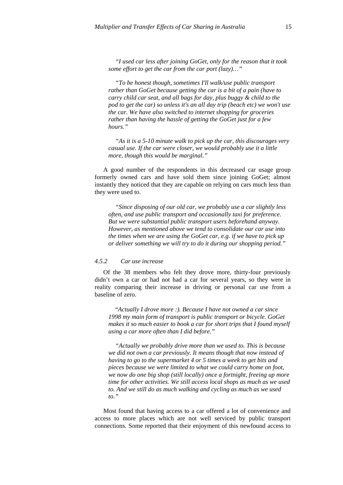*"I used car less after joining GoGet, only for the reason that it took some effort to get the car from the car port (lazy)…"* 

*"To be honest though, sometimes I'll walk/use public transport rather than GoGet because getting the car is a bit of a pain (have to carry child car seat, and all bags for day, plus buggy & child to the pod to get the car) so unless it's an all day trip (beach etc) we won't use the car. We have also switched to internet shopping for groceries rather than having the hassle of getting the GoGet just for a few hours."* 

*"As it is a 5-10 minute walk to pick up the car, this discourages very casual use. If the car were closer, we would probably use it a little more, though this would be marginal."* 

A good number of the respondents in this decreased car usage group formerly owned cars and have sold them since joining GoGet; almost instantly they noticed that they are capable on relying on cars much less than they were used to.

*"Since disposing of our old car, we probably use a car slightly less often, and use public transport and occasionally taxi for preference. But we were substantial public transport users beforehand anyway. However, as mentioned above we tend to consolidate our car use into the times when we are using the GoGet car, e.g. if we have to pick up or deliver something we will try to do it during our shopping period."* 

#### *4.5.2 Car use increase*

Of the 38 members who felt they drove more, thirty-four previously didn't own a car or had not had a car for several years, so they were in reality comparing their increase in driving or personal car use from a baseline of zero.

"*Actually I drove more :). Because I have not owned a car since 1998 my main form of transport is public transport or bicycle. GoGet makes it so much easier to book a car for short trips that I found myself using a car more often than I did before."* 

*"Actually we probably drive more than we used to. This is because we did not own a car previously. It means though that now instead of having to go to the supermarket 4 or 5 times a week to get bits and pieces because we were limited to what we could carry home on foot, we now do one big shop (still locally) once a fortnight, freeing up more time for other activities. We still access local shops as much as we used to. And we still do as much walking and cycling as much as we used to."* 

Most found that having access to a car offered a lot of convenience and access to more places which are not well serviced by public transport connections. Some reported that their enjoyment of this newfound access to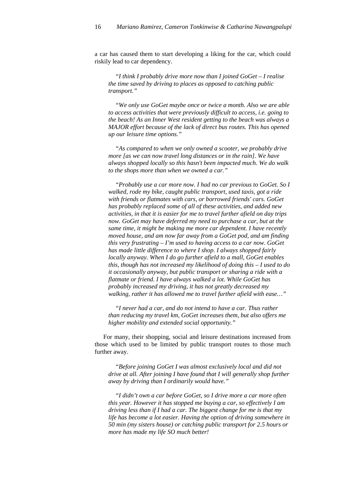a car has caused them to start developing a liking for the car, which could riskily lead to car dependency.

*"I think I probably drive more now than I joined GoGet – I realise the time saved by driving to places as opposed to catching public transport."* 

*"We only use GoGet maybe once or twice a month. Also we are able to access activities that were previously difficult to access, i.e. going to the beach! As an Inner West resident getting to the beach was always a MAJOR effort because of the lack of direct bus routes. This has opened up our leisure time options."* 

*"As compared to when we only owned a scooter, we probably drive more [as we can now travel long distances or in the rain]. We have always shopped locally so this hasn't been impacted much. We do walk to the shops more than when we owned a car."* 

*"Probably use a car more now. I had no car previous to GoGet. So I walked, rode my bike, caught public transport, used taxis, got a ride with friends or flatmates with cars, or borrowed friends' cars. GoGet has probably replaced some of all of these activities, and added new activities, in that it is easier for me to travel further afield on day trips now. GoGet may have deferred my need to purchase a car, but at the same time, it might be making me more car dependent. I have recently moved house, and am now far away from a GoGet pod, and am finding this very frustrating – I'm used to having access to a car now. GoGet has made little difference to where I shop. I always shopped fairly locally anyway. When I do go further afield to a mall, GoGet enables this, though has not increased my likelihood of doing this – I used to do it occasionally anyway, but public transport or sharing a ride with a flatmate or friend. I have always walked a lot. While GoGet has probably increased my driving, it has not greatly decreased my walking, rather it has allowed me to travel further afield with ease…"* 

*"I never had a car, and do not intend to have a car. Thus rather than reducing my travel km, GoGet increases them, but also offers me higher mobility and extended social opportunity."* 

For many, their shopping, social and leisure destinations increased from those which used to be limited by public transport routes to those much further away.

*"Before joining GoGet I was almost exclusively local and did not drive at all. After joining I have found that I will generally shop further away by driving than I ordinarily would have."* 

*"I didn't own a car before GoGet, so I drive more a car more often this year. However it has stopped me buying a car, so effectively I am driving less than if I had a car. The biggest change for me is that my life has become a lot easier. Having the option of driving somewhere in 50 min (my sisters house) or catching public transport for 2.5 hours or more has made my life SO much better!*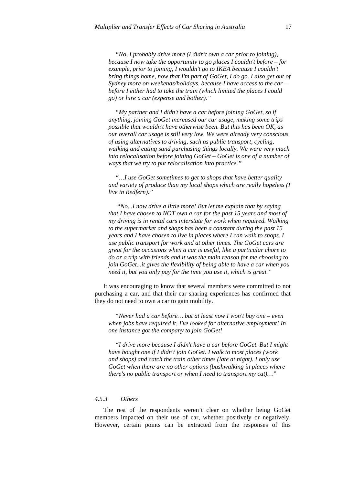*"No, I probably drive more (I didn't own a car prior to joining), because I now take the opportunity to go places I couldn't before – for example, prior to joining, I wouldn't go to IKEA because I couldn't bring things home, now that I'm part of GoGet, I do go. I also get out of Sydney more on weekends/holidays, because I have access to the car – before I either had to take the train (which limited the places I could go) or hire a car (expense and bother)."* 

*"My partner and I didn't have a car before joining GoGet, so if anything, joining GoGet increased our car usage, making some trips possible that wouldn't have otherwise been. But this has been OK, as our overall car usage is still very low. We were already very conscious of using alternatives to driving, such as public transport, cycling, walking and eating sand purchasing things locally. We were very much into relocalisation before joining GoGet – GoGet is one of a number of ways that we try to put relocalisation into practice."* 

*"…I use GoGet sometimes to get to shops that have better quality and variety of produce than my local shops which are really hopeless (I live in Redfern)."* 

 *"No...I now drive a little more! But let me explain that by saying that I have chosen to NOT own a car for the past 15 years and most of my driving is in rental cars interstate for work when required. Walking to the supermarket and shops has been a constant during the past 15 years and I have chosen to live in places where I can walk to shops. I use public transport for work and at other times. The GoGet cars are great for the occasions when a car is useful, like a particular chore to do or a trip with friends and it was the main reason for me choosing to join GoGet...it gives the flexibility of being able to have a car when you need it, but you only pay for the time you use it, which is great."* 

It was encouraging to know that several members were committed to not purchasing a car, and that their car sharing experiences has confirmed that they do not need to own a car to gain mobility.

*"Never had a car before… but at least now I won't buy one – even when jobs have required it, I've looked for alternative employment! In one instance got the company to join GoGet!* 

*"I drive more because I didn't have a car before GoGet. But I might have bought one if I didn't join GoGet. I walk to most places (work and shops) and catch the train other times (late at night). I only use GoGet when there are no other options (bushwalking in places where there's no public transport or when I need to transport my cat)…"* 

#### *4.5.3 Others*

The rest of the respondents weren't clear on whether being GoGet members impacted on their use of car, whether positively or negatively. However, certain points can be extracted from the responses of this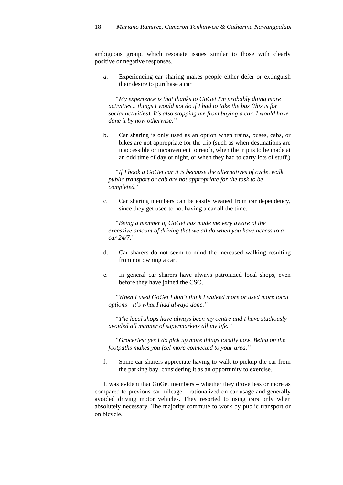ambiguous group, which resonate issues similar to those with clearly positive or negative responses.

*a.* Experiencing car sharing makes people either defer or extinguish their desire to purchase a car

*"My experience is that thanks to GoGet I'm probably doing more activities... things I would not do if I had to take the bus (this is for social activities). It's also stopping me from buying a car. I would have done it by now otherwise."* 

b. Car sharing is only used as an option when trains, buses, cabs, or bikes are not appropriate for the trip (such as when destinations are inaccessible or inconvenient to reach, when the trip is to be made at an odd time of day or night, or when they had to carry lots of stuff.)

*"If I book a GoGet car it is because the alternatives of cycle, walk, public transport or cab are not appropriate for the task to be completed."* 

c. Car sharing members can be easily weaned from car dependency, since they get used to not having a car all the time.

*"Being a member of GoGet has made me very aware of the excessive amount of driving that we all do when you have access to a car 24/7."* 

- d. Car sharers do not seem to mind the increased walking resulting from not owning a car.
- e. In general car sharers have always patronized local shops, even before they have joined the CSO.

*"When I used GoGet I don't think I walked more or used more local options—it's what I had always done."* 

*"The local shops have always been my centre and I have studiously avoided all manner of supermarkets all my life."* 

*"Groceries: yes I do pick up more things locally now. Being on the footpaths makes you feel more connected to your area."* 

f. Some car sharers appreciate having to walk to pickup the car from the parking bay, considering it as an opportunity to exercise.

It was evident that GoGet members – whether they drove less or more as compared to previous car mileage – rationalized on car usage and generally avoided driving motor vehicles. They resorted to using cars only when absolutely necessary. The majority commute to work by public transport or on bicycle.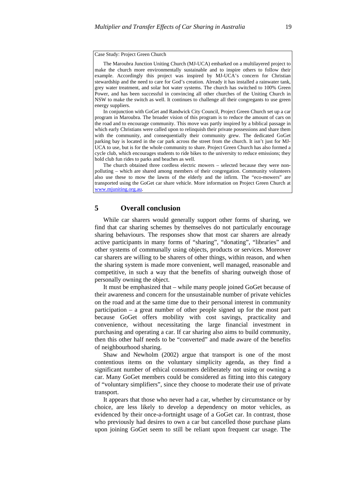#### Case Study: Project Green Church

The Maroubra Junction Uniting Church (MJ-UCA) embarked on a multilayered project to make the church more environmentally sustainable and to inspire others to follow their example. Accordingly this project was inspired by MJ-UCA's concern for Christian stewardship and the need to care for God's creation. Already it has installed a rainwater tank, grey water treatment, and solar hot water systems. The church has switched to 100% Green Power, and has been successful in convincing all other churches of the Uniting Church in NSW to make the switch as well. It continues to challenge all their congregants to use green energy suppliers.

In conjunction with GoGet and Randwick City Council, Project Green Church set up a car program in Maroubra. The broader vision of this program is to reduce the amount of cars on the road and to encourage community. This move was partly inspired by a biblical passage in which early Christians were called upon to relinquish their private possessions and share them with the community, and consequentially their community grew. The dedicated GoGet parking bay is located in the car park across the street from the church. It isn't just for MJ-UCA to use, but is for the whole community to share. Project Green Church has also formed a cycle club, which encourages students to ride bikes to the university to reduce emissions; they hold club fun rides to parks and beaches as well.

The church obtained three cordless electric mowers – selected because they were nonpolluting – which are shared among members of their congregation. Community volunteers also use these to mow the lawns of the elderly and the infirm. The "eco-mowers" are transported using the GoGet car share vehicle. More information on Project Green Church at [www.mjuniting.org.au](http://www.mjuniting.org.au/).

#### **5 Overall conclusion**

While car sharers would generally support other forms of sharing, we find that car sharing schemes by themselves do not particularly encourage sharing behaviours. The responses show that most car sharers are already active participants in many forms of "sharing", "donating", "libraries" and other systems of communally using objects, products or services. Moreover car sharers are willing to be sharers of other things, within reason, and when the sharing system is made more convenient, well managed, reasonable and competitive, in such a way that the benefits of sharing outweigh those of personally owning the object.

It must be emphasized that – while many people joined GoGet because of their awareness and concern for the unsustainable number of private vehicles on the road and at the same time due to their personal interest in community participation – a great number of other people signed up for the most part because GoGet offers mobility with cost savings, practicality and convenience, without necessitating the large financial investment in purchasing and operating a car. If car sharing also aims to build community, then this other half needs to be "converted" and made aware of the benefits of neighbourhood sharing.

Shaw and Newholm (2002) argue that transport is one of the most contentious items on the voluntary simplicity agenda, as they find a significant number of ethical consumers deliberately not using or owning a car. Many GoGet members could be considered as fitting into this category of "voluntary simplifiers", since they choose to moderate their use of private transport.

It appears that those who never had a car, whether by circumstance or by choice, are less likely to develop a dependency on motor vehicles, as evidenced by their once-a-fortnight usage of a GoGet car. In contrast, those who previously had desires to own a car but cancelled those purchase plans upon joining GoGet seem to still be reliant upon frequent car usage. The